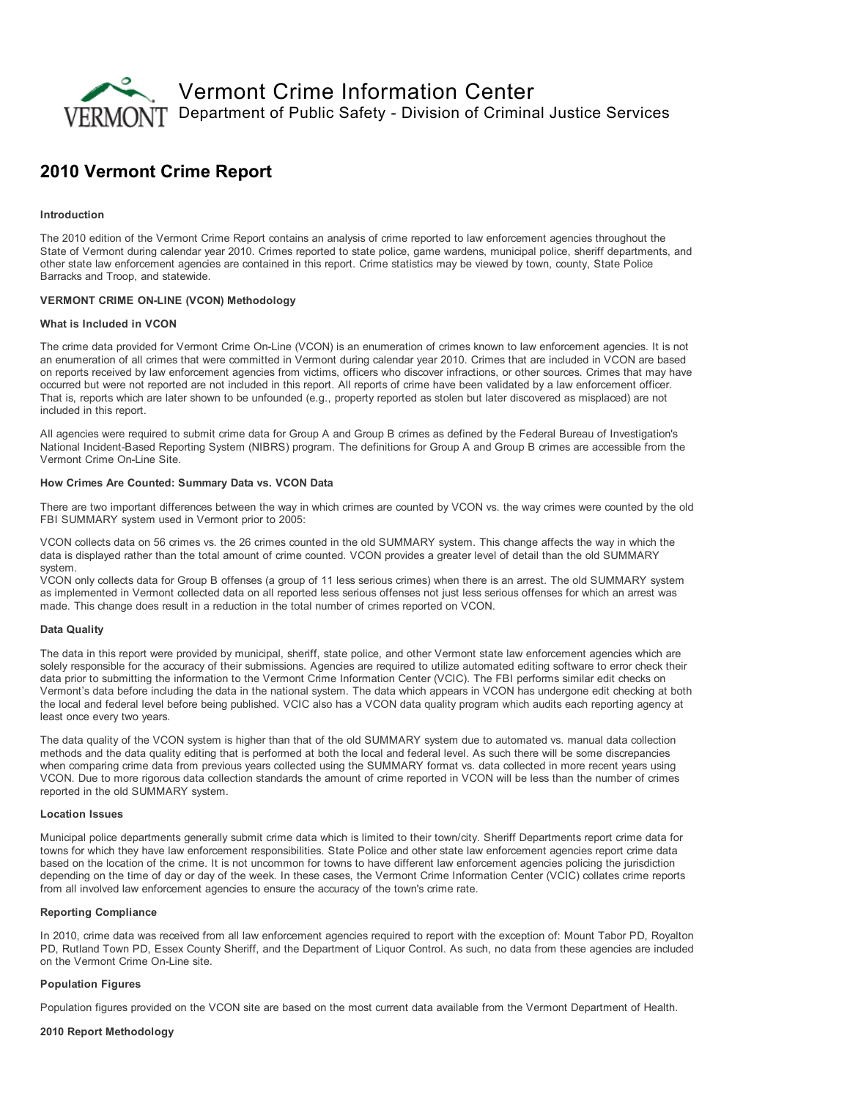

# 2010 Vermont Crime Report

### Introduction

The 2010 edition of the Vermont Crime Report contains an analysis of crime reported to law enforcement agencies throughout the State of Vermont during calendar year 2010. Crimes reported to state police, game wardens, municipal police, sheriff departments, and other state law enforcement agencies are contained in this report. Crime statistics may be viewed by town, county, State Police Barracks and Troop, and statewide.

#### **VERMONT CRIME ON-LINE (VCON) Methodology**

#### What is Included in VCON

The crime data provided for Vermont Crime On-Line (VCON) is an enumeration of crimes known to law enforcement agencies. It is not an enumeration of all crimes that were committed in Vermont during calendar year 2010. Crimes that are included in VCON are based on reports received by law enforcement agencies from victims, officers who discover infractions, or other sources. Crimes that may have occurred but were not reported are not included in this report. All reports of crime have been validated by a law enforcement officer. That is, reports which are later shown to be unfounded (e.g., property reported as stolen but later discovered as misplaced) are not included in this report.

All agencies were required to submit crime data for Group A and Group B crimes as defined by the Federal Bureau of Investigation's National Incident-Based Reporting System (NIBRS) program. The definitions for Group A and Group B crimes are accessible from the Vermont Crime On-Line Site.

## How Crimes Are Counted: Summary Data vs. VCON Data

There are two important differences between the way in which crimes are counted by VCON vs. the way crimes were counted by the old FBI SUMMARY system used in Vermont prior to 2005:

VCON collects data on 56 crimes vs. the 26 crimes counted in the old SUMMARY system. This change affects the way in which the data is displayed rather than the total amount of crime counted. VCON provides a greater level of detail than the old SUMMARY system.

VCON only collects data for Group B offenses (a group of 11 less serious crimes) when there is an arrest. The old SUMMARY system as implemented in Vermont collected data on all reported less serious offenses not just less serious offenses for which an arrest was made. This change does result in a reduction in the total number of crimes reported on VCON.

#### Data Quality

The data in this report were provided by municipal, sheriff, state police, and other Vermont state law enforcement agencies which are solely responsible for the accuracy of their submissions. Agencies are required to utilize automated editing software to error check their data prior to submitting the information to the Vermont Crime Information Center (VCIC). The FBI performs similar edit checks on Vermont's data before including the data in the national system. The data which appears in VCON has undergone edit checking at both the local and federal level before being published. VCIC also has a VCON data quality program which audits each reporting agency at least once every two years.

The data quality of the VCON system is higher than that of the old SUMMARY system due to automated vs. manual data collection methods and the data quality editing that is performed at both the local and federal level. As such there will be some discrepancies when comparing crime data from previous years collected using the SUMMARY format vs. data collected in more recent years using VCON. Due to more rigorous data collection standards the amount of crime reported in VCON will be less than the number of crimes reported in the old SUMMARY system.

## Location Issues

Municipal police departments generally submit crime data which is limited to their town/city. Sheriff Departments report crime data for towns for which they have law enforcement responsibilities. State Police and other state law enforcement agencies report crime data based on the location of the crime. It is not uncommon for towns to have different law enforcement agencies policing the jurisdiction depending on the time of day or day of the week. In these cases, the Vermont Crime Information Center (VCIC) collates crime reports from all involved law enforcement agencies to ensure the accuracy of the town's crime rate.

#### Reporting Compliance

In 2010, crime data was received from all law enforcement agencies required to report with the exception of: Mount Tabor PD, Royalton PD, Rutland Town PD, Essex County Sheriff, and the Department of Liquor Control. As such, no data from these agencies are included on the Vermont Crime On-Line site.

### Population Figures

Population figures provided on the VCON site are based on the most current data available from the Vermont Department of Health.

#### 2010 Report Methodology